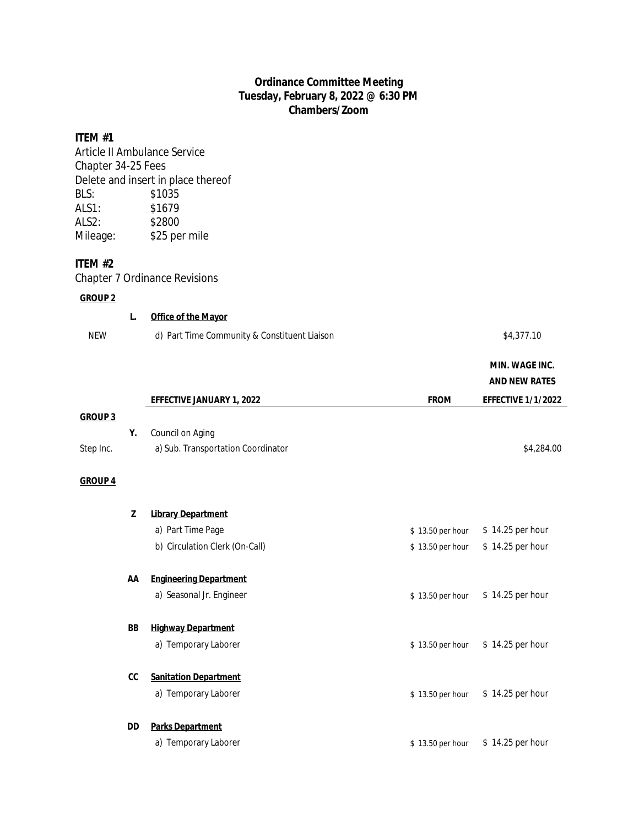# **Ordinance Committee Meeting Tuesday, February 8, 2022 @ 6:30 PM Chambers/Zoom**

# **ITEM #1**

Article II Ambulance Service Chapter 34-25 Fees Delete and insert in place thereof BLS: \$1035 ALS1: \$1679 ALS2: \$2800<br>
Mileage: \$25 per \$25 per mile

## **ITEM #2**

Chapter 7 Ordinance Revisions

# **GROUP 2**

|                | L.  | <b>Office of the Mayor</b>                   |                  |                           |
|----------------|-----|----------------------------------------------|------------------|---------------------------|
| <b>NEW</b>     |     | d) Part Time Community & Constituent Liaison |                  | \$4,377.10                |
|                |     |                                              |                  | MIN. WAGE INC.            |
|                |     |                                              |                  | <b>AND NEW RATES</b>      |
|                |     | EFFECTIVE JANUARY 1, 2022                    | <b>FROM</b>      | <b>EFFECTIVE 1/1/2022</b> |
| <b>GROUP 3</b> |     |                                              |                  |                           |
|                | Υ.  | Council on Aging                             |                  |                           |
| Step Inc.      |     | a) Sub. Transportation Coordinator           |                  | \$4,284.00                |
| <b>GROUP 4</b> |     |                                              |                  |                           |
|                | Z   | <b>Library Department</b>                    |                  |                           |
|                |     | a) Part Time Page                            | \$13.50 per hour | \$14.25 per hour          |
|                |     | b) Circulation Clerk (On-Call)               | \$13.50 per hour | \$14.25 per hour          |
|                | AA  | <b>Engineering Department</b>                |                  |                           |
|                |     | a) Seasonal Jr. Engineer                     | \$13.50 per hour | \$14.25 per hour          |
|                | BB  | <b>Highway Department</b>                    |                  |                           |
|                |     | a) Temporary Laborer                         | \$13.50 per hour | \$14.25 per hour          |
|                | cc  | <b>Sanitation Department</b>                 |                  |                           |
|                |     | a) Temporary Laborer                         | \$13.50 per hour | \$14.25 per hour          |
|                | DD. | <b>Parks Department</b>                      |                  |                           |
|                |     | a) Temporary Laborer                         | \$13.50 per hour | \$14.25 per hour          |
|                |     |                                              |                  |                           |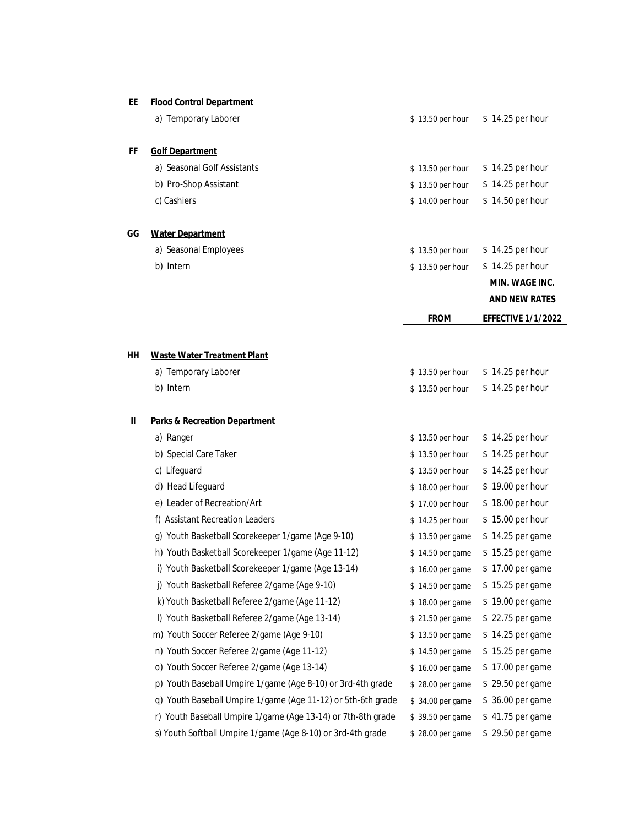## **EE Flood Control Department**

|    | a) Temporary Laborer        | \$13.50 per hour | $$14.25$ per hour |
|----|-----------------------------|------------------|-------------------|
| FF | <b>Golf Department</b>      |                  |                   |
|    | a) Seasonal Golf Assistants | \$13.50 per hour | $$14.25$ per hour |
|    | b) Pro-Shop Assistant       | \$13.50 per hour | $$14.25$ per hour |
|    | c) Cashiers                 | \$14.00 per hour | $$14.50$ per hour |

## **GG Water Department**

|                       | MIN. WAGE INC.                      |
|-----------------------|-------------------------------------|
| b) Intern             | $$13.50$ per hour $$14.25$ per hour |
| a) Seasonal Employees | \$13.50 per hour \$14.25 per hour   |

**AND NEW RATES**

**FROM EFFECTIVE 1/1/2022**

| HН | <b>Waste Water Treatment Plant</b>                   |                  |                   |
|----|------------------------------------------------------|------------------|-------------------|
|    | a) Temporary Laborer                                 | \$13.50 per hour | $$14.25$ per hour |
|    | b) Intern                                            | \$13.50 per hour | \$14.25 per hour  |
|    |                                                      |                  |                   |
| Ш  | <b>Parks &amp; Recreation Department</b>             |                  |                   |
|    | a) Ranger                                            | \$13.50 per hour | \$14.25 per hour  |
|    | b) Special Care Taker                                | \$13.50 per hour | \$14.25 per hour  |
|    | c) Lifeguard                                         | \$13.50 per hour | \$14.25 per hour  |
|    | d) Head Lifeguard                                    | \$18.00 per hour | \$19.00 per hour  |
|    | e) Leader of Recreation/Art                          | \$17.00 per hour | \$18.00 per hour  |
|    | f) Assistant Recreation Leaders                      | \$14.25 per hour | \$15.00 per hour  |
|    | Youth Basketball Scorekeeper 1/game (Age 9-10)<br>q) | \$13.50 per game | \$14.25 per game  |
|    | h) Youth Basketball Scorekeeper 1/game (Age 11-12)   | \$14.50 per game | \$15.25 per game  |
|    | i) Youth Basketball Scorekeeper 1/game (Age 13-14)   | \$16.00 per game | \$17.00 per game  |
|    | Youth Basketball Referee 2/game (Age 9-10)           | \$14.50 per game | \$15.25 per game  |
|    | k) Youth Basketball Referee 2/game (Age 11-12)       | \$18.00 per game | \$19.00 per game  |
|    | I) Youth Basketball Referee 2/game (Age 13-14)       | \$21.50 per game | \$22.75 per game  |
|    | m) Youth Soccer Referee 2/game (Age 9-10)            | \$13.50 per game | \$14.25 per game  |
|    | n) Youth Soccer Referee 2/game (Age 11-12)           | \$14.50 per game | \$15.25 per game  |
|    | o) Youth Soccer Referee 2/game (Age 13-14)           | \$16.00 per game | \$17.00 per game  |

# p) Youth Baseball Umpire 1/game (Age 8-10) or 3rd-4th grade \$ 28.00 per game \$ 29.50 per game

- q) Youth Baseball Umpire 1/game (Age 11-12) or 5th-6th grade \$ 34.00 per game \$ 36.00 per game
- r) Youth Baseball Umpire 1/game (Age 13-14) or 7th-8th grade \$ 39.50 per game \$ 41.75 per game
- s) Youth Softball Umpire 1/game (Age 8-10) or 3rd-4th grade \$ 28.00 per game \$ 29.50 per game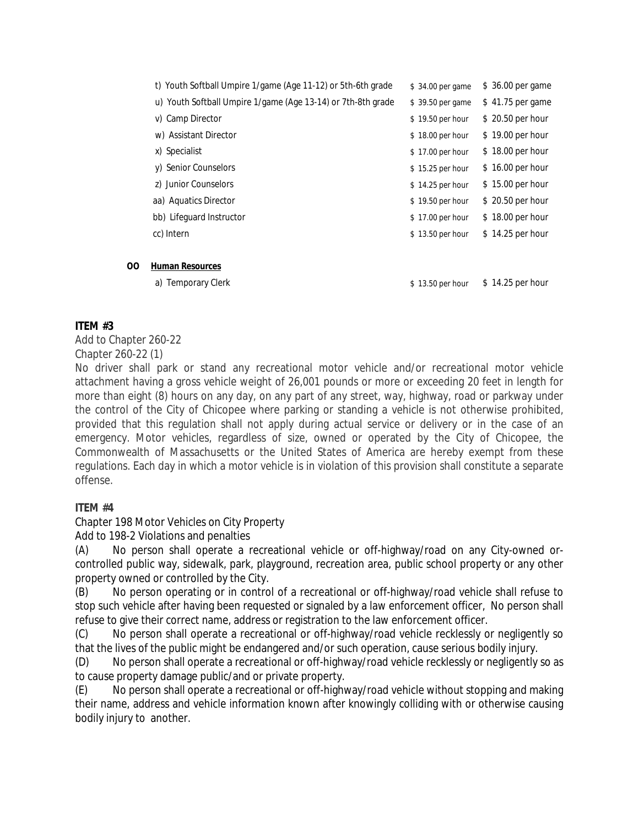| t) Youth Softball Umpire 1/game (Age 11-12) or 5th-6th grade | \$34.00 per game  | \$ 36.00 per game |
|--------------------------------------------------------------|-------------------|-------------------|
| u) Youth Softball Umpire 1/game (Age 13-14) or 7th-8th grade | \$39.50 per game  | \$41.75 per game  |
| v) Camp Director                                             | \$19.50 per hour  | \$20.50 per hour  |
| w) Assistant Director                                        | \$18.00 per hour  | \$19.00 per hour  |
| x) Specialist                                                | \$17.00 per hour  | \$18.00 per hour  |
| y) Senior Counselors                                         | \$15.25 per hour  | \$16.00 per hour  |
| z) Junior Counselors                                         | $$14.25$ per hour | \$15.00 per hour  |
| aa) Aquatics Director                                        | \$19.50 per hour  | \$20.50 per hour  |
| bb) Lifeguard Instructor                                     | \$17.00 per hour  | \$18.00 per hour  |
| cc) Intern                                                   | \$13.50 per hour  | $$14.25$ per hour |
|                                                              |                   |                   |
|                                                              |                   |                   |

## **OO Human Resources**

a) Temporary Clerk  $\frac{1}{2}$  as  $\frac{13.50 \text{ per hour}}{14.25 \text{ per hour}}$ 

# **ITEM #3**

Add to Chapter 260-22 Chapter 260-22 (1)

No driver shall park or stand any recreational motor vehicle and/or recreational motor vehicle attachment having a gross vehicle weight of 26,001 pounds or more or exceeding 20 feet in length for more than eight (8) hours on any day, on any part of any street, way, highway, road or parkway under the control of the City of Chicopee where parking or standing a vehicle is not otherwise prohibited, provided that this regulation shall not apply during actual service or delivery or in the case of an emergency. Motor vehicles, regardless of size, owned or operated by the City of Chicopee, the Commonwealth of Massachusetts or the United States of America are hereby exempt from these regulations. Each day in which a motor vehicle is in violation of this provision shall constitute a separate offense.

# **ITEM #4**

Chapter 198 Motor Vehicles on City Property

Add to 198-2 Violations and penalties

(A) No person shall operate a recreational vehicle or off-highway/road on any City-owned orcontrolled public way, sidewalk, park, playground, recreation area, public school property or any other property owned or controlled by the City.

(B) No person operating or in control of a recreational or off-highway/road vehicle shall refuse to stop such vehicle after having been requested or signaled by a law enforcement officer, No person shall refuse to give their correct name, address or registration to the law enforcement officer.

(C) No person shall operate a recreational or off-highway/road vehicle recklessly or negligently so that the lives of the public might be endangered and/or such operation, cause serious bodily injury.

(D) No person shall operate a recreational or off-highway/road vehicle recklessly or negligently so as to cause property damage public/and or private property.

(E) No person shall operate a recreational or off-highway/road vehicle without stopping and making their name, address and vehicle information known after knowingly colliding with or otherwise causing bodily injury to another.